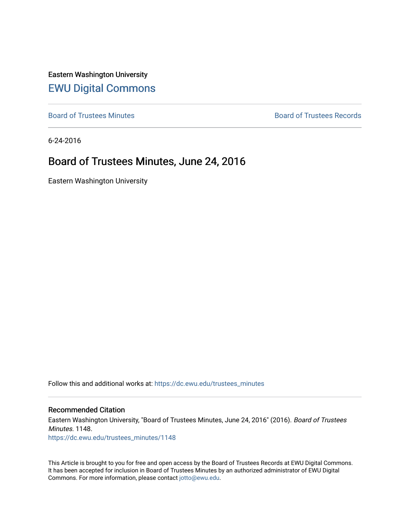Eastern Washington University [EWU Digital Commons](https://dc.ewu.edu/)

[Board of Trustees Minutes](https://dc.ewu.edu/trustees_minutes) **Board of Trustees Records Board of Trustees Records** 

6-24-2016

# Board of Trustees Minutes, June 24, 2016

Eastern Washington University

Follow this and additional works at: [https://dc.ewu.edu/trustees\\_minutes](https://dc.ewu.edu/trustees_minutes?utm_source=dc.ewu.edu%2Ftrustees_minutes%2F1148&utm_medium=PDF&utm_campaign=PDFCoverPages) 

#### Recommended Citation

Eastern Washington University, "Board of Trustees Minutes, June 24, 2016" (2016). Board of Trustees Minutes. 1148. [https://dc.ewu.edu/trustees\\_minutes/1148](https://dc.ewu.edu/trustees_minutes/1148?utm_source=dc.ewu.edu%2Ftrustees_minutes%2F1148&utm_medium=PDF&utm_campaign=PDFCoverPages) 

This Article is brought to you for free and open access by the Board of Trustees Records at EWU Digital Commons. It has been accepted for inclusion in Board of Trustees Minutes by an authorized administrator of EWU Digital Commons. For more information, please contact [jotto@ewu.edu.](mailto:jotto@ewu.edu)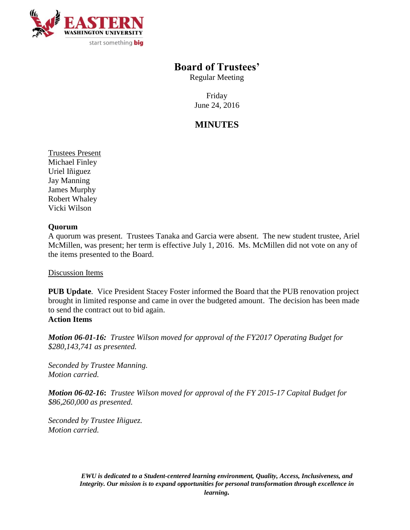

## **Board of Trustees'**

Regular Meeting

Friday June 24, 2016

# **MINUTES**

Trustees Present Michael Finley Uriel Iñiguez Jay Manning James Murphy Robert Whaley Vicki Wilson

### **Quorum**

A quorum was present. Trustees Tanaka and Garcia were absent. The new student trustee, Ariel McMillen, was present; her term is effective July 1, 2016. Ms. McMillen did not vote on any of the items presented to the Board.

Discussion Items

**PUB Update**. Vice President Stacey Foster informed the Board that the PUB renovation project brought in limited response and came in over the budgeted amount. The decision has been made to send the contract out to bid again. **Action Items**

*Motion 06-01-16: Trustee Wilson moved for approval of the FY2017 Operating Budget for \$280,143,741 as presented.*

*Seconded by Trustee Manning. Motion carried.*

*Motion 06-02-16***:** *Trustee Wilson moved for approval of the FY 2015-17 Capital Budget for \$86,260,000 as presented.*

*Seconded by Trustee Iñiguez. Motion carried.*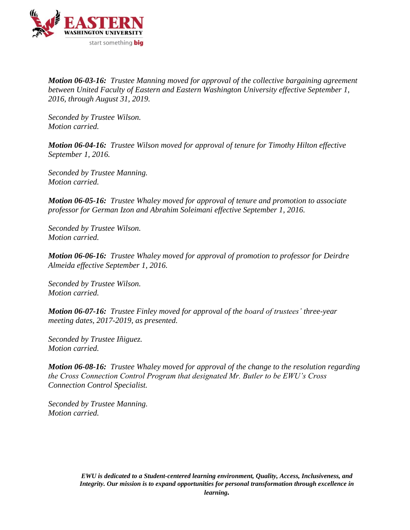

*Motion 06-03-16: Trustee Manning moved for approval of the collective bargaining agreement between United Faculty of Eastern and Eastern Washington University effective September 1, 2016, through August 31, 2019.*

*Seconded by Trustee Wilson. Motion carried.*

*Motion 06-04-16: Trustee Wilson moved for approval of tenure for Timothy Hilton effective September 1, 2016.*

*Seconded by Trustee Manning. Motion carried.*

*Motion 06-05-16: Trustee Whaley moved for approval of tenure and promotion to associate professor for German Izon and Abrahim Soleimani effective September 1, 2016.* 

*Seconded by Trustee Wilson. Motion carried.*

*Motion 06-06-16: Trustee Whaley moved for approval of promotion to professor for Deirdre Almeida effective September 1, 2016.* 

*Seconded by Trustee Wilson. Motion carried.*

*Motion 06-07-16: Trustee Finley moved for approval of the board of trustees' three-year meeting dates, 2017-2019, as presented.* 

*Seconded by Trustee Iñiguez. Motion carried.*

*Motion 06-08-16: Trustee Whaley moved for approval of the change to the resolution regarding the Cross Connection Control Program that designated Mr. Butler to be EWU's Cross Connection Control Specialist.* 

*Seconded by Trustee Manning. Motion carried.*